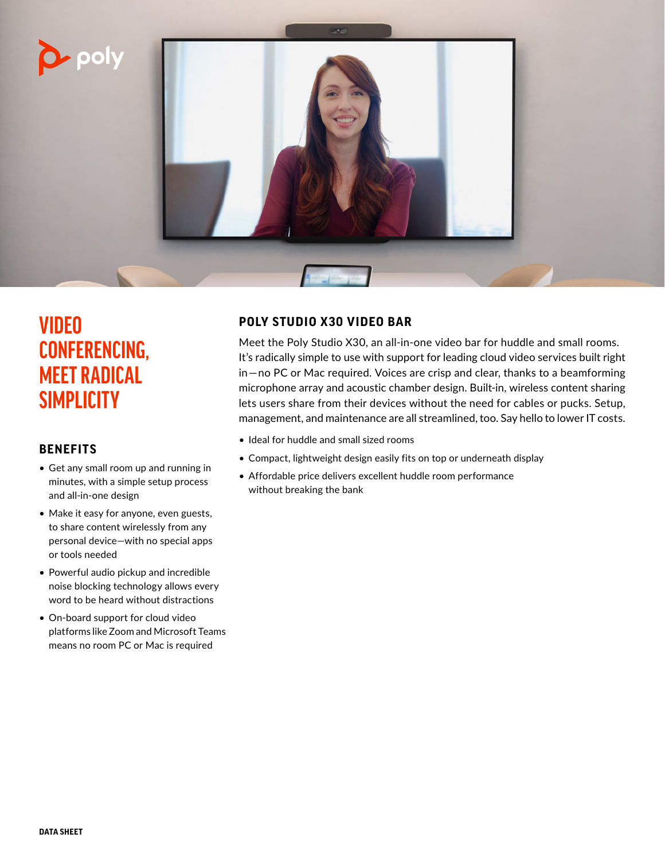



# **VIDEO CONFERENCING, MEET RADICAL SIMPLICITY**

## **BENEFITS**

- Get any small room up and running in minutes, with a simple setup process and all-in-one design
- Make it easy for anyone, even guests, to share content wirelessly from any personal device—with no special apps or tools needed
- Powerful audio pickup and incredible noise blocking technology allows every word to be heard without distractions
- On-board support for cloud video platforms like Zoom and Microsoft Teams means no room PC or Mac is required

# **POLY STUDIO X30 VIDEO BAR**

Meet the Poly Studio X30, an all-in-one video bar for huddle and small rooms. It's radically simple to use with support for leading cloud video services built right in—no PC or Mac required. Voices are crisp and clear, thanks to a beamforming microphone array and acoustic chamber design. Built-in, wireless content sharing lets users share from their devices without the need for cables or pucks. Setup, management, and maintenance are all streamlined, too. Say hello to lower IT costs.

- Ideal for huddle and small sized rooms
- Compact, lightweight design easily fits on top or underneath display
- Affordable price delivers excellent huddle room performance without breaking the bank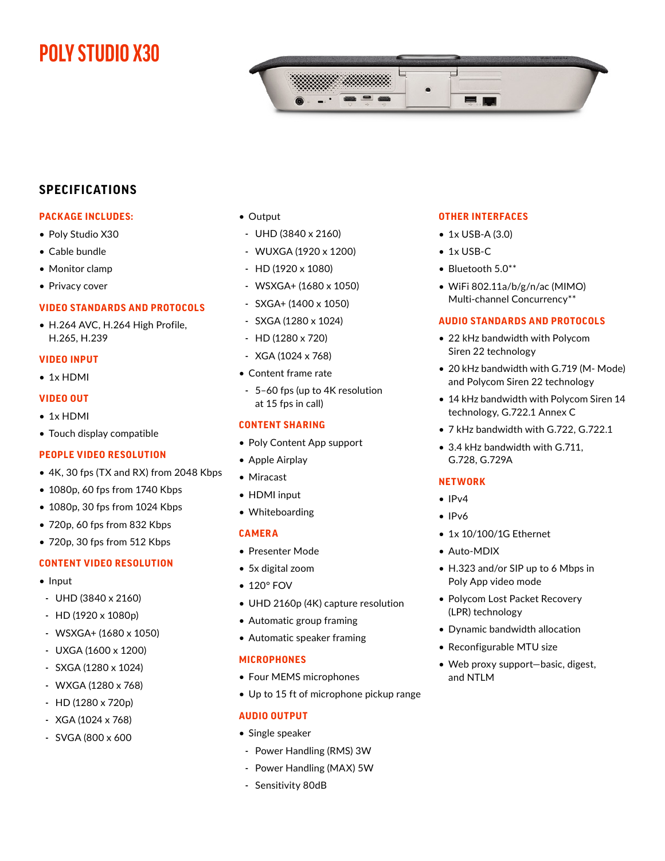# **POLY STUDIO X30**



## **SPECIFICATIONS**

## **PACKAGE INCLUDES:**

- Poly Studio X30
- Cable bundle
- Monitor clamp
- Privacy cover

## **VIDEO STANDARDS AND PROTOCOLS**

• H.264 AVC, H.264 High Profile, H.265, H.239

#### **VIDEO INPUT**

• 1x HDMI

#### **VIDEO OUT**

- 1x HDMI
- Touch display compatible

#### **PEOPLE VIDEO RESOLUTION**

- 4K, 30 fps (TX and RX) from 2048 Kbps
- 1080p, 60 fps from 1740 Kbps
- 1080p, 30 fps from 1024 Kbps
- 720p, 60 fps from 832 Kbps
- 720p, 30 fps from 512 Kbps

## **CONTENT VIDEO RESOLUTION**

- Input
- UHD (3840 x 2160)
- HD (1920 x 1080p)
- WSXGA+ (1680 x 1050)
- UXGA (1600 x 1200)
- SXGA (1280 x 1024)
- WXGA (1280 x 768)
- HD (1280 x 720p)
- XGA (1024 x 768)
- SVGA (800 x 600
- Output
- UHD (3840 x 2160)
- WUXGA (1920 x 1200)
- HD (1920 x 1080)
- WSXGA+ (1680 x 1050)
- SXGA+ (1400 x 1050)
- SXGA (1280 x 1024)
- HD (1280 x 720)
- XGA (1024 x 768)
- Content frame rate
- 5–60 fps (up to 4K resolution at 15 fps in call)

### **CONTENT SHARING**

- Poly Content App support
- Apple Airplay
- Miracast
- HDMI input
- Whiteboarding

#### **CAMERA**

- Presenter Mode
- 5x digital zoom
- 120° FOV
- UHD 2160p (4K) capture resolution
- Automatic group framing
- Automatic speaker framing

#### **MICROPHONES**

- Four MEMS microphones
- Up to 15 ft of microphone pickup range

#### **AUDIO OUTPUT**

- Single speaker
- Power Handling (RMS) 3W
- Power Handling (MAX) 5W
- Sensitivity 80dB

#### **OTHER INTERFACES**

- 1x USB-A (3.0)
- 1x USB-C
- Bluetooth 5.0\*\*
- WiFi 802.11a/b/g/n/ac (MIMO) Multi-channel Concurrency\*\*

#### **AUDIO STANDARDS AND PROTOCOLS**

- 22 kHz bandwidth with Polycom Siren 22 technology
- 20 kHz bandwidth with G.719 (M- Mode) and Polycom Siren 22 technology
- 14 kHz bandwidth with Polycom Siren 14 technology, G.722.1 Annex C
- 7 kHz bandwidth with G.722, G.722.1
- 3.4 kHz bandwidth with G.711, G.728, G.729A

#### **NETWORK**

- IPv4
- IPv6
- 1x 10/100/1G Ethernet
- Auto-MDIX
- H.323 and/or SIP up to 6 Mbps in Poly App video mode
- Polycom Lost Packet Recovery (LPR) technology
- Dynamic bandwidth allocation
- Reconfigurable MTU size
- Web proxy support—basic, digest, and NTLM